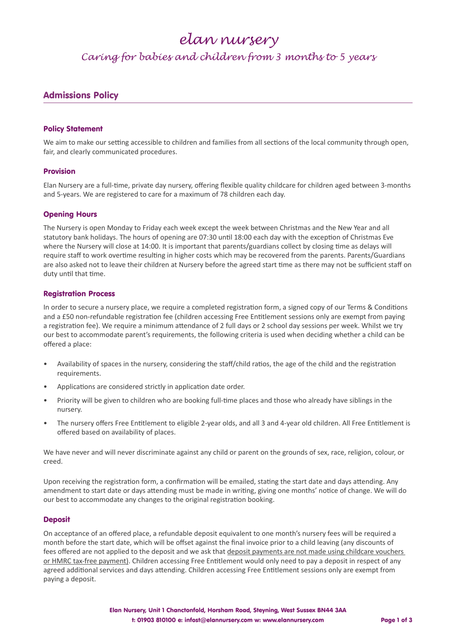## *elan nursery*

### *Caring for babies and children from 3 months to 5 years*

### Admissions Policy

#### Policy Statement

We aim to make our setting accessible to children and families from all sections of the local community through open, fair, and clearly communicated procedures.

#### Provision

Elan Nursery are a full-time, private day nursery, offering flexible quality childcare for children aged between 3-months and 5-years. We are registered to care for a maximum of 78 children each day.

#### Opening Hours

The Nursery is open Monday to Friday each week except the week between Christmas and the New Year and all statutory bank holidays. The hours of opening are 07:30 until 18:00 each day with the exception of Christmas Eve where the Nursery will close at 14:00. It is important that parents/guardians collect by closing time as delays will require staff to work overtime resulting in higher costs which may be recovered from the parents. Parents/Guardians are also asked not to leave their children at Nursery before the agreed start time as there may not be sufficient staff on duty until that time.

#### Registration Process

In order to secure a nursery place, we require a completed registration form, a signed copy of our Terms & Conditions and a £50 non-refundable registration fee (children accessing Free Entitlement sessions only are exempt from paying a registration fee). We require a minimum attendance of 2 full days or 2 school day sessions per week. Whilst we try our best to accommodate parent's requirements, the following criteria is used when deciding whether a child can be offered a place:

- Availability of spaces in the nursery, considering the staff/child ratios, the age of the child and the registration requirements.
- Applications are considered strictly in application date order.
- Priority will be given to children who are booking full-time places and those who already have siblings in the nursery.
- The nursery offers Free Entitlement to eligible 2-year olds, and all 3 and 4-year old children. All Free Entitlement is offered based on availability of places.

We have never and will never discriminate against any child or parent on the grounds of sex, race, religion, colour, or creed.

Upon receiving the registration form, a confirmation will be emailed, stating the start date and days attending. Any amendment to start date or days attending must be made in writing, giving one months' notice of change. We will do our best to accommodate any changes to the original registration booking.

#### **Deposit**

On acceptance of an offered place, a refundable deposit equivalent to one month's nursery fees will be required a month before the start date, which will be offset against the final invoice prior to a child leaving (any discounts of fees offered are not applied to the deposit and we ask that deposit payments are not made using childcare vouchers or HMRC tax-free payment). Children accessing Free Entitlement would only need to pay a deposit in respect of any agreed additional services and days attending. Children accessing Free Entitlement sessions only are exempt from paying a deposit.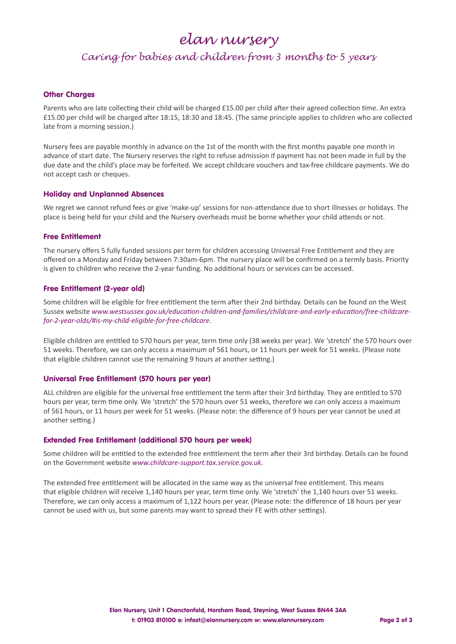## *elan nursery*

### *Caring for babies and children from 3 months to 5 years*

#### Other Charges

Parents who are late collecting their child will be charged £15.00 per child after their agreed collection time. An extra £15.00 per child will be charged after 18:15, 18:30 and 18:45. (The same principle applies to children who are collected late from a morning session.)

Nursery fees are payable monthly in advance on the 1st of the month with the first months payable one month in advance of start date. The Nursery reserves the right to refuse admission if payment has not been made in full by the due date and the child's place may be forfeited. We accept childcare vouchers and tax-free childcare payments. We do not accept cash or cheques.

#### Holiday and Unplanned Absences

We regret we cannot refund fees or give 'make-up' sessions for non-attendance due to short illnesses or holidays. The place is being held for your child and the Nursery overheads must be borne whether your child attends or not.

#### Free Entitlement

The nursery offers 5 fully funded sessions per term for children accessing Universal Free Entitlement and they are offered on a Monday and Friday between 7:30am-6pm. The nursery place will be confirmed on a termly basis. Priority is given to children who receive the 2-year funding. No additional hours or services can be accessed.

#### Free Entitlement (2-year old)

Some children will be eligible for free entitlement the term after their 2nd birthday. Details can be found on the West Sussex website *www.westsussex.gov.uk/education-children-and-families/childcare-and-early-education/free-childcarefor-2-year-olds/#is-my-child-eligible-for-free-childcare*.

Eligible children are entitled to 570 hours per year, term time only (38 weeks per year). We 'stretch' the 570 hours over 51 weeks. Therefore, we can only access a maximum of 561 hours, or 11 hours per week for 51 weeks. (Please note that eligible children cannot use the remaining 9 hours at another setting.)

#### Universal Free Entitlement (570 hours per year)

ALL children are eligible for the universal free entitlement the term after their 3rd birthday. They are entitled to 570 hours per year, term time only. We 'stretch' the 570 hours over 51 weeks, therefore we can only access a maximum of 561 hours, or 11 hours per week for 51 weeks. (Please note: the difference of 9 hours per year cannot be used at another setting.)

#### Extended Free Entitlement (additional 570 hours per week)

Some children will be entitled to the extended free entitlement the term after their 3rd birthday. Details can be found on the Government website *www.childcare-support.tax.service.gov.uk*.

The extended free entitlement will be allocated in the same way as the universal free entitlement. This means that eligible children will receive 1,140 hours per year, term time only. We 'stretch' the 1,140 hours over 51 weeks. Therefore, we can only access a maximum of 1,122 hours per year. (Please note: the difference of 18 hours per year cannot be used with us, but some parents may want to spread their FE with other settings).